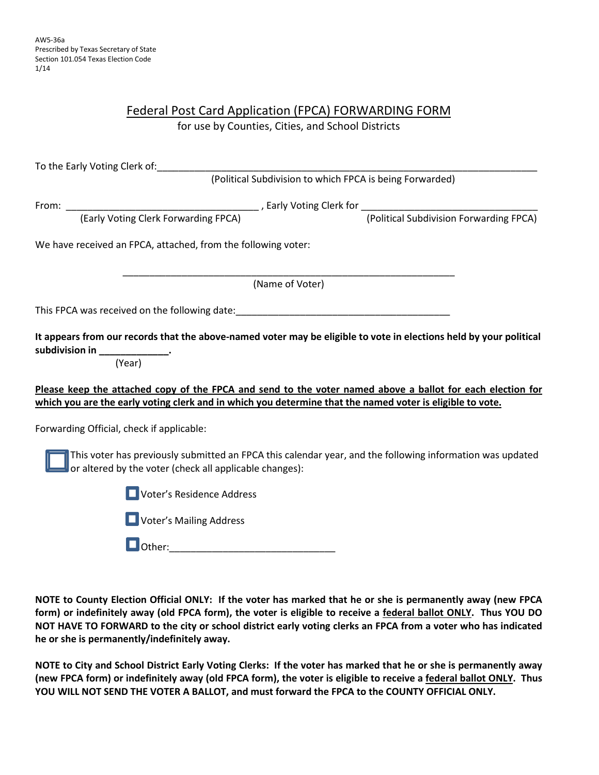| Federal Post Card Application (FPCA) FORWARDING FORM |  |  |  |  |
|------------------------------------------------------|--|--|--|--|
| for use by Counties, Cities, and School Districts    |  |  |  |  |

| To the Early Voting Clerk of: The Contract of Section 1997 and the Contract of Section 1997 and the Contract of Section 1997 and 2007 and 2007 and 2007 and 2007 and 2007 and 2007 and 2007 and 2007 and 2007 and 2007 and 200 |                                                          |
|--------------------------------------------------------------------------------------------------------------------------------------------------------------------------------------------------------------------------------|----------------------------------------------------------|
|                                                                                                                                                                                                                                | (Political Subdivision to which FPCA is being Forwarded) |
|                                                                                                                                                                                                                                |                                                          |
|                                                                                                                                                                                                                                |                                                          |
| We have received an FPCA, attached, from the following voter:                                                                                                                                                                  |                                                          |
| (Name of Voter)                                                                                                                                                                                                                |                                                          |
| This FPCA was received on the following date: This received a material control of the control of the control of                                                                                                                |                                                          |
| It appears from our records that the above-named voter may be eligible to vote in elections held by your political<br>subdivision in _______________.<br>(Year)                                                                |                                                          |
| Please keep the attached copy of the FPCA and send to the voter named above a ballot for each election for<br>which you are the early voting clerk and in which you determine that the named voter is eligible to vote.        |                                                          |
| Forwarding Official, check if applicable:                                                                                                                                                                                      |                                                          |
| This voter has previously submitted an FPCA this calendar year, and the following information was updated<br>or altered by the voter (check all applicable changes):                                                           |                                                          |
| Voter's Residence Address                                                                                                                                                                                                      |                                                          |
| Voter's Mailing Address                                                                                                                                                                                                        |                                                          |
| lOther:                                                                                                                                                                                                                        |                                                          |

**NOTE to County Election Official ONLY: If the voter has marked that he or she is permanently away (new FPCA form) or indefinitely away (old FPCA form), the voter is eligible to receive a federal ballot ONLY. Thus YOU DO NOT HAVE TO FORWARD to the city or school district early voting clerks an FPCA from a voter who has indicated he or she is permanently/indefinitely away.** 

**NOTE to City and School District Early Voting Clerks: If the voter has marked that he or she is permanently away (new FPCA form) or indefinitely away (old FPCA form), the voter is eligible to receive a federal ballot ONLY. Thus YOU WILL NOT SEND THE VOTER A BALLOT, and must forward the FPCA to the COUNTY OFFICIAL ONLY.**